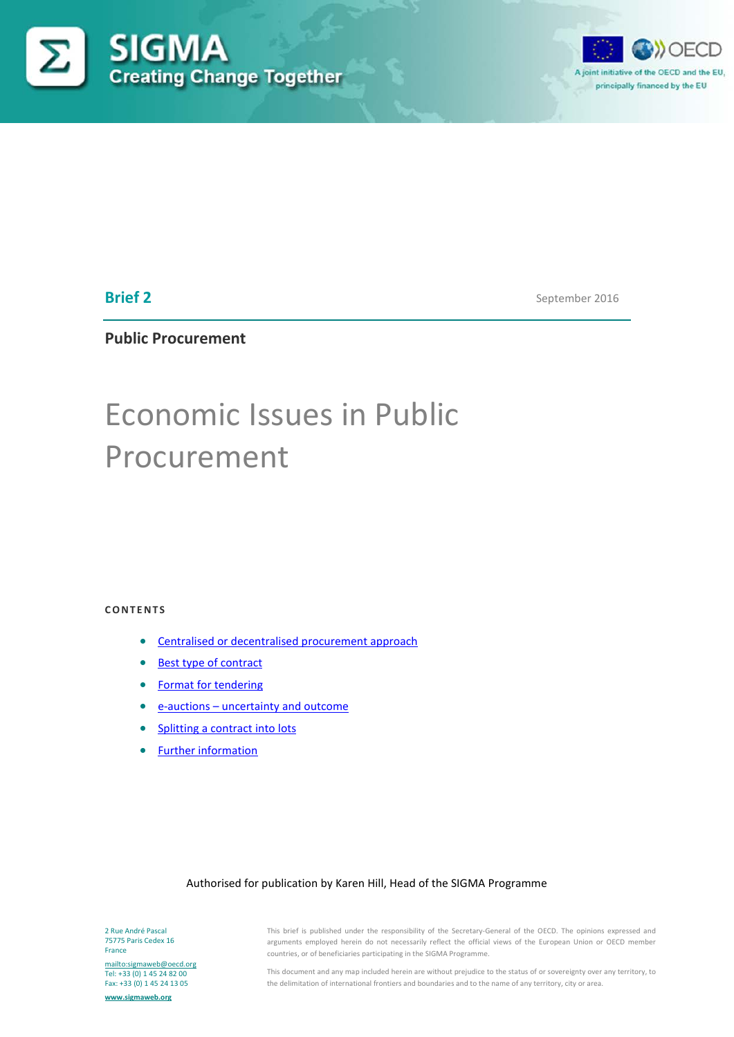



# **Brief 2**

September 2016

**Public Procurement**

# Economic Issues in Public Procurement

## **CONTENTS**

- [Centralised or decentralised procurement approach](#page-1-0)
- [Best type of contract](#page-2-0)
- [Format for tendering](#page-4-0)
- e-auctions [uncertainty and outcome](#page-0-0)
- [Splitting a contract into lots](#page-5-0)
- <span id="page-0-0"></span>• [Further information](#page-9-0)

#### Authorised for publication by Karen Hill, Head of the SIGMA Programme

2 Rue André Pascal 75775 Paris Cedex 16 France

<mailto:sigmaweb@oecd.org> Tel: +33 (0) 1 45 24 82 00 Fax: +33 (0) 1 45 24 13 05

**[www.sigmaweb.org](http://www.sigmaweb.org/)**

This brief is published under the responsibility of the Secretary-General of the OECD. The opinions expressed and arguments employed herein do not necessarily reflect the official views of the European Union or OECD member countries, or of beneficiaries participating in the SIGMA Programme.

This document and any map included herein are without prejudice to the status of or sovereignty over any territory, to the delimitation of international frontiers and boundaries and to the name of any territory, city or area.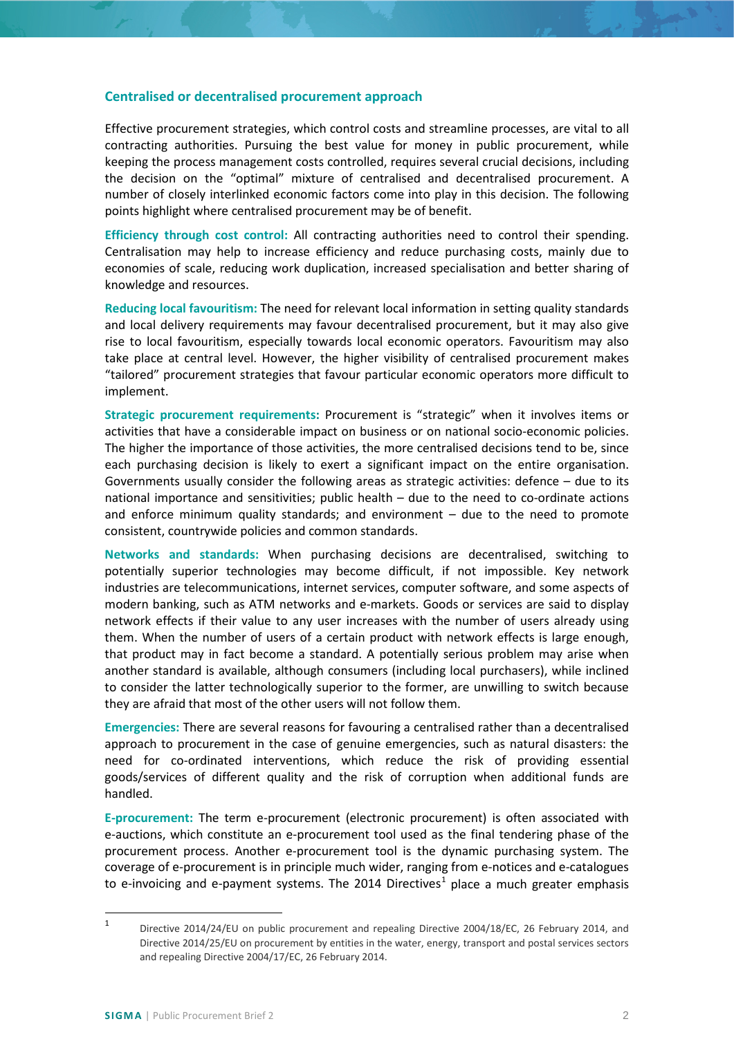#### <span id="page-1-0"></span>**Centralised or decentralised procurement approach**

Effective procurement strategies, which control costs and streamline processes, are vital to all contracting authorities. Pursuing the best value for money in public procurement, while keeping the process management costs controlled, requires several crucial decisions, including the decision on the "optimal" mixture of centralised and decentralised procurement. A number of closely interlinked economic factors come into play in this decision. The following points highlight where centralised procurement may be of benefit.

**Efficiency through cost control:** All contracting authorities need to control their spending. Centralisation may help to increase efficiency and reduce purchasing costs, mainly due to economies of scale, reducing work duplication, increased specialisation and better sharing of knowledge and resources.

**Reducing local favouritism:** The need for relevant local information in setting quality standards and local delivery requirements may favour decentralised procurement, but it may also give rise to local favouritism, especially towards local economic operators. Favouritism may also take place at central level. However, the higher visibility of centralised procurement makes "tailored" procurement strategies that favour particular economic operators more difficult to implement.

**Strategic procurement requirements:** Procurement is "strategic" when it involves items or activities that have a considerable impact on business or on national socio-economic policies. The higher the importance of those activities, the more centralised decisions tend to be, since each purchasing decision is likely to exert a significant impact on the entire organisation. Governments usually consider the following areas as strategic activities: defence – due to its national importance and sensitivities; public health – due to the need to co-ordinate actions and enforce minimum quality standards; and environment  $-$  due to the need to promote consistent, countrywide policies and common standards.

**Networks and standards:** When purchasing decisions are decentralised, switching to potentially superior technologies may become difficult, if not impossible. Key network industries are telecommunications, internet services, computer software, and some aspects of modern banking, such as ATM networks and e-markets. Goods or services are said to display network effects if their value to any user increases with the number of users already using them. When the number of users of a certain product with network effects is large enough, that product may in fact become a standard. A potentially serious problem may arise when another standard is available, although consumers (including local purchasers), while inclined to consider the latter technologically superior to the former, are unwilling to switch because they are afraid that most of the other users will not follow them.

**Emergencies:** There are several reasons for favouring a centralised rather than a decentralised approach to procurement in the case of genuine emergencies, such as natural disasters: the need for co-ordinated interventions, which reduce the risk of providing essential goods/services of different quality and the risk of corruption when additional funds are handled.

**E-procurement:** The term e-procurement (electronic procurement) is often associated with e-auctions, which constitute an e-procurement tool used as the final tendering phase of the procurement process. Another e-procurement tool is the dynamic purchasing system. The coverage of e-procurement is in principle much wider, ranging from e-notices and e-catalogues to e-invoicing and e-payment systems. The 20[1](#page-1-1)4 Directives<sup>1</sup> place a much greater emphasis

<span id="page-1-1"></span> <sup>1</sup> Directive 2014/24/EU on public procurement and repealing Directive 2004/18/EC, 26 February 2014, and Directive 2014/25/EU on procurement by entities in the water, energy, transport and postal services sectors and repealing Directive 2004/17/EC, 26 February 2014.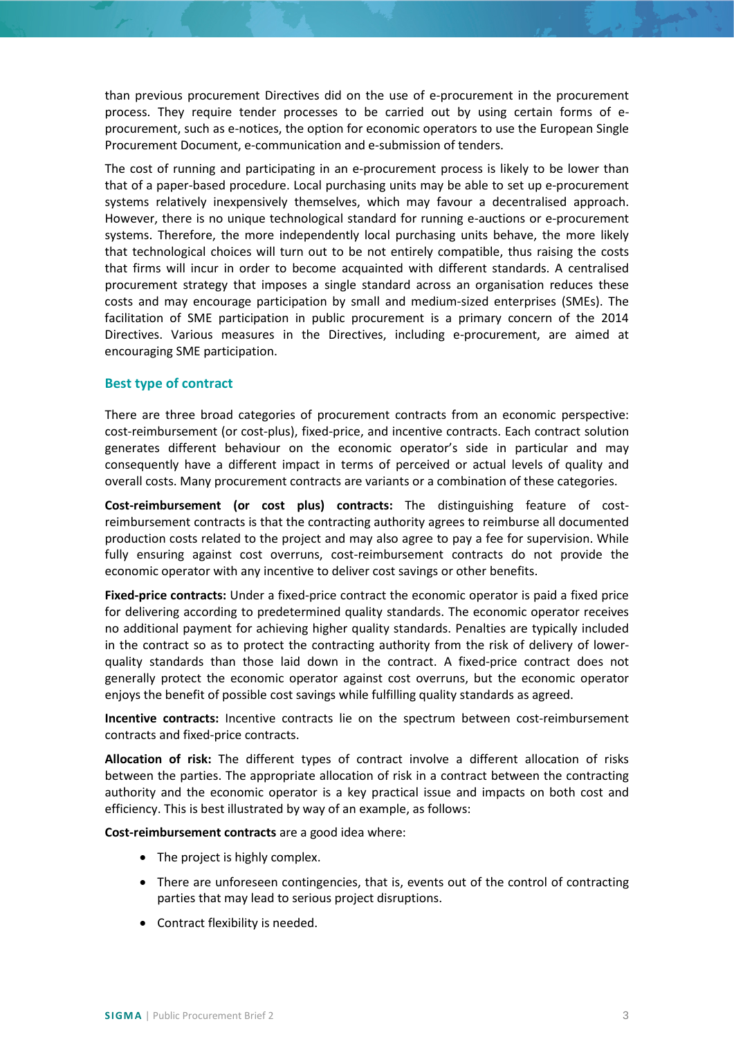than previous procurement Directives did on the use of e-procurement in the procurement process. They require tender processes to be carried out by using certain forms of eprocurement, such as e-notices, the option for economic operators to use the European Single Procurement Document, e-communication and e-submission of tenders.

The cost of running and participating in an e-procurement process is likely to be lower than that of a paper-based procedure. Local purchasing units may be able to set up e-procurement systems relatively inexpensively themselves, which may favour a decentralised approach. However, there is no unique technological standard for running e-auctions or e-procurement systems. Therefore, the more independently local purchasing units behave, the more likely that technological choices will turn out to be not entirely compatible, thus raising the costs that firms will incur in order to become acquainted with different standards. A centralised procurement strategy that imposes a single standard across an organisation reduces these costs and may encourage participation by small and medium-sized enterprises (SMEs). The facilitation of SME participation in public procurement is a primary concern of the 2014 Directives. Various measures in the Directives, including e-procurement, are aimed at encouraging SME participation.

## <span id="page-2-0"></span>**Best type of contract**

There are three broad categories of procurement contracts from an economic perspective: cost-reimbursement (or cost-plus), fixed-price, and incentive contracts. Each contract solution generates different behaviour on the economic operator's side in particular and may consequently have a different impact in terms of perceived or actual levels of quality and overall costs. Many procurement contracts are variants or a combination of these categories.

**Cost-reimbursement (or cost plus) contracts:** The distinguishing feature of costreimbursement contracts is that the contracting authority agrees to reimburse all documented production costs related to the project and may also agree to pay a fee for supervision. While fully ensuring against cost overruns, cost-reimbursement contracts do not provide the economic operator with any incentive to deliver cost savings or other benefits.

**Fixed-price contracts:** Under a fixed-price contract the economic operator is paid a fixed price for delivering according to predetermined quality standards. The economic operator receives no additional payment for achieving higher quality standards. Penalties are typically included in the contract so as to protect the contracting authority from the risk of delivery of lowerquality standards than those laid down in the contract. A fixed-price contract does not generally protect the economic operator against cost overruns, but the economic operator enjoys the benefit of possible cost savings while fulfilling quality standards as agreed.

**Incentive contracts:** Incentive contracts lie on the spectrum between cost-reimbursement contracts and fixed-price contracts.

**Allocation of risk:** The different types of contract involve a different allocation of risks between the parties. The appropriate allocation of risk in a contract between the contracting authority and the economic operator is a key practical issue and impacts on both cost and efficiency. This is best illustrated by way of an example, as follows:

**Cost-reimbursement contracts** are a good idea where:

- The project is highly complex.
- There are unforeseen contingencies, that is, events out of the control of contracting parties that may lead to serious project disruptions.
- Contract flexibility is needed.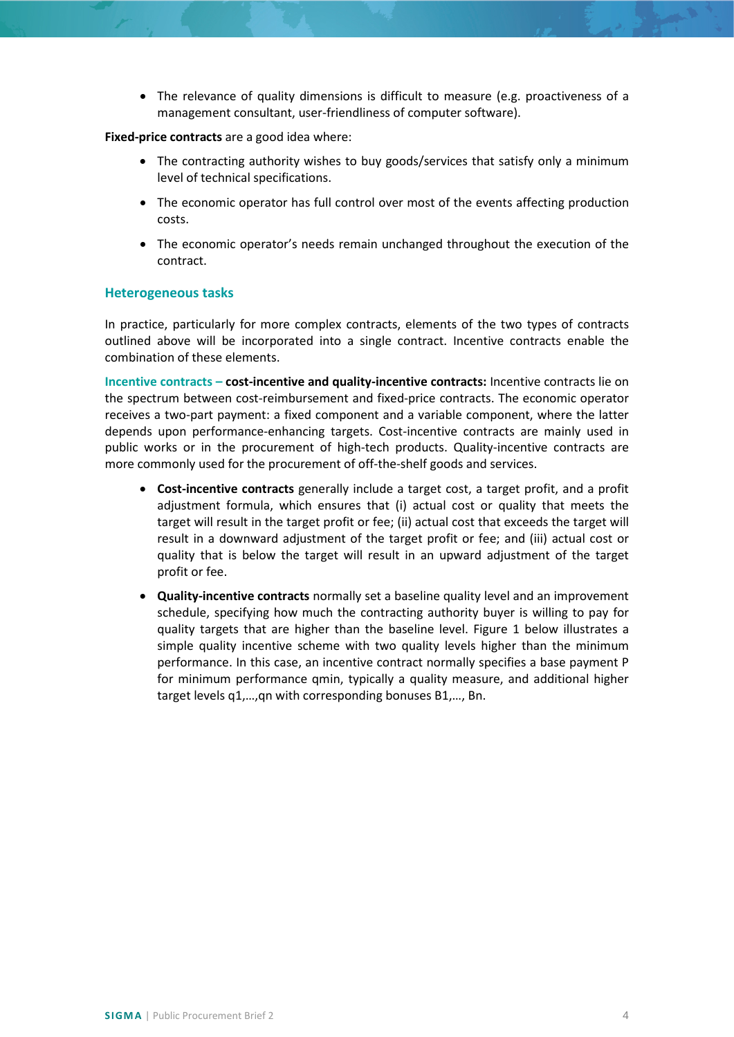• The relevance of quality dimensions is difficult to measure (e.g. proactiveness of a management consultant, user-friendliness of computer software).

## **Fixed-price contracts** are a good idea where:

- The contracting authority wishes to buy goods/services that satisfy only a minimum level of technical specifications.
- The economic operator has full control over most of the events affecting production costs.
- The economic operator's needs remain unchanged throughout the execution of the contract.

## **Heterogeneous tasks**

In practice, particularly for more complex contracts, elements of the two types of contracts outlined above will be incorporated into a single contract. Incentive contracts enable the combination of these elements.

**Incentive contracts – cost-incentive and quality-incentive contracts:** Incentive contracts lie on the spectrum between cost-reimbursement and fixed-price contracts. The economic operator receives a two-part payment: a fixed component and a variable component, where the latter depends upon performance-enhancing targets. Cost-incentive contracts are mainly used in public works or in the procurement of high-tech products. Quality-incentive contracts are more commonly used for the procurement of off-the-shelf goods and services.

- **Cost-incentive contracts** generally include a target cost, a target profit, and a profit adjustment formula, which ensures that (i) actual cost or quality that meets the target will result in the target profit or fee; (ii) actual cost that exceeds the target will result in a downward adjustment of the target profit or fee; and (iii) actual cost or quality that is below the target will result in an upward adjustment of the target profit or fee.
- **Quality-incentive contracts** normally set a baseline quality level and an improvement schedule, specifying how much the contracting authority buyer is willing to pay for quality targets that are higher than the baseline level. Figure 1 below illustrates a simple quality incentive scheme with two quality levels higher than the minimum performance. In this case, an incentive contract normally specifies a base payment P for minimum performance qmin, typically a quality measure, and additional higher target levels q1,…,qn with corresponding bonuses B1,…, Bn.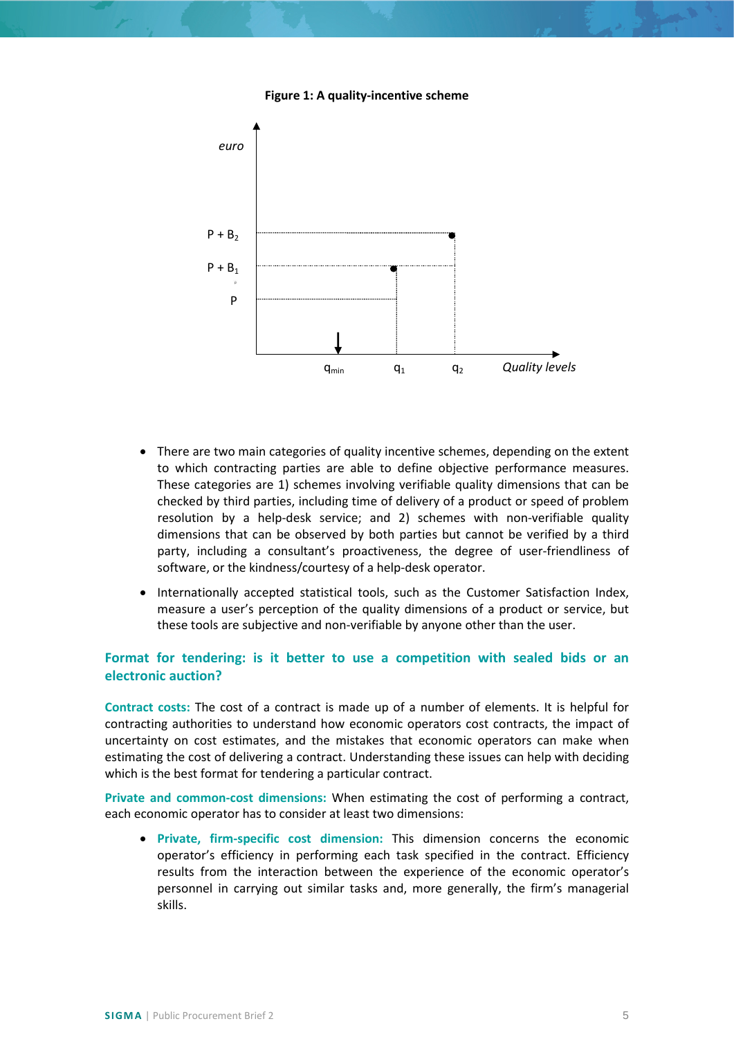#### **Figure 1: A quality-incentive scheme**



- There are two main categories of quality incentive schemes, depending on the extent to which contracting parties are able to define objective performance measures. These categories are 1) schemes involving verifiable quality dimensions that can be checked by third parties, including time of delivery of a product or speed of problem resolution by a help-desk service; and 2) schemes with non-verifiable quality dimensions that can be observed by both parties but cannot be verified by a third party, including a consultant's proactiveness, the degree of user-friendliness of software, or the kindness/courtesy of a help-desk operator.
- Internationally accepted statistical tools, such as the Customer Satisfaction Index, measure a user's perception of the quality dimensions of a product or service, but these tools are subjective and non-verifiable by anyone other than the user.

# <span id="page-4-0"></span>**Format for tendering: is it better to use a competition with sealed bids or an electronic auction?**

**Contract costs:** The cost of a contract is made up of a number of elements. It is helpful for contracting authorities to understand how economic operators cost contracts, the impact of uncertainty on cost estimates, and the mistakes that economic operators can make when estimating the cost of delivering a contract. Understanding these issues can help with deciding which is the best format for tendering a particular contract.

**Private and common-cost dimensions:** When estimating the cost of performing a contract, each economic operator has to consider at least two dimensions:

• **Private, firm-specific cost dimension:** This dimension concerns the economic operator's efficiency in performing each task specified in the contract. Efficiency results from the interaction between the experience of the economic operator's personnel in carrying out similar tasks and, more generally, the firm's managerial skills.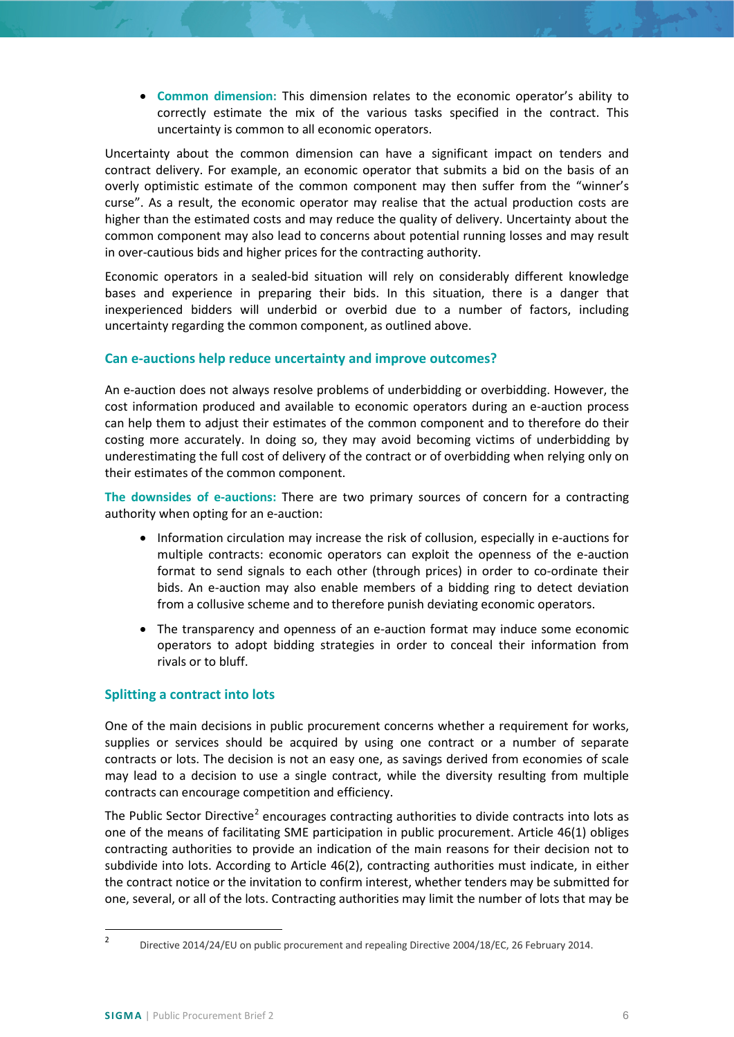• **Common dimension:** This dimension relates to the economic operator's ability to correctly estimate the mix of the various tasks specified in the contract. This uncertainty is common to all economic operators.

Uncertainty about the common dimension can have a significant impact on tenders and contract delivery. For example, an economic operator that submits a bid on the basis of an overly optimistic estimate of the common component may then suffer from the "winner's curse". As a result, the economic operator may realise that the actual production costs are higher than the estimated costs and may reduce the quality of delivery. Uncertainty about the common component may also lead to concerns about potential running losses and may result in over-cautious bids and higher prices for the contracting authority.

Economic operators in a sealed-bid situation will rely on considerably different knowledge bases and experience in preparing their bids. In this situation, there is a danger that inexperienced bidders will underbid or overbid due to a number of factors, including uncertainty regarding the common component, as outlined above.

## **Can e-auctions help reduce uncertainty and improve outcomes?**

An e-auction does not always resolve problems of underbidding or overbidding. However, the cost information produced and available to economic operators during an e-auction process can help them to adjust their estimates of the common component and to therefore do their costing more accurately. In doing so, they may avoid becoming victims of underbidding by underestimating the full cost of delivery of the contract or of overbidding when relying only on their estimates of the common component.

**The downsides of e-auctions:** There are two primary sources of concern for a contracting authority when opting for an e-auction:

- Information circulation may increase the risk of collusion, especially in e-auctions for multiple contracts: economic operators can exploit the openness of the e-auction format to send signals to each other (through prices) in order to co-ordinate their bids. An e-auction may also enable members of a bidding ring to detect deviation from a collusive scheme and to therefore punish deviating economic operators.
- The transparency and openness of an e-auction format may induce some economic operators to adopt bidding strategies in order to conceal their information from rivals or to bluff.

## <span id="page-5-0"></span>**Splitting a contract into lots**

One of the main decisions in public procurement concerns whether a requirement for works, supplies or services should be acquired by using one contract or a number of separate contracts or lots. The decision is not an easy one, as savings derived from economies of scale may lead to a decision to use a single contract, while the diversity resulting from multiple contracts can encourage competition and efficiency.

The Public Sector Directive<sup>[2](#page-5-1)</sup> encourages contracting authorities to divide contracts into lots as one of the means of facilitating SME participation in public procurement. Article 46(1) obliges contracting authorities to provide an indication of the main reasons for their decision not to subdivide into lots. According to Article 46(2), contracting authorities must indicate, in either the contract notice or the invitation to confirm interest, whether tenders may be submitted for one, several, or all of the lots. Contracting authorities may limit the number of lots that may be

<span id="page-5-1"></span> <sup>2</sup> Directive 2014/24/EU on public procurement and repealing Directive 2004/18/EC, 26 February 2014.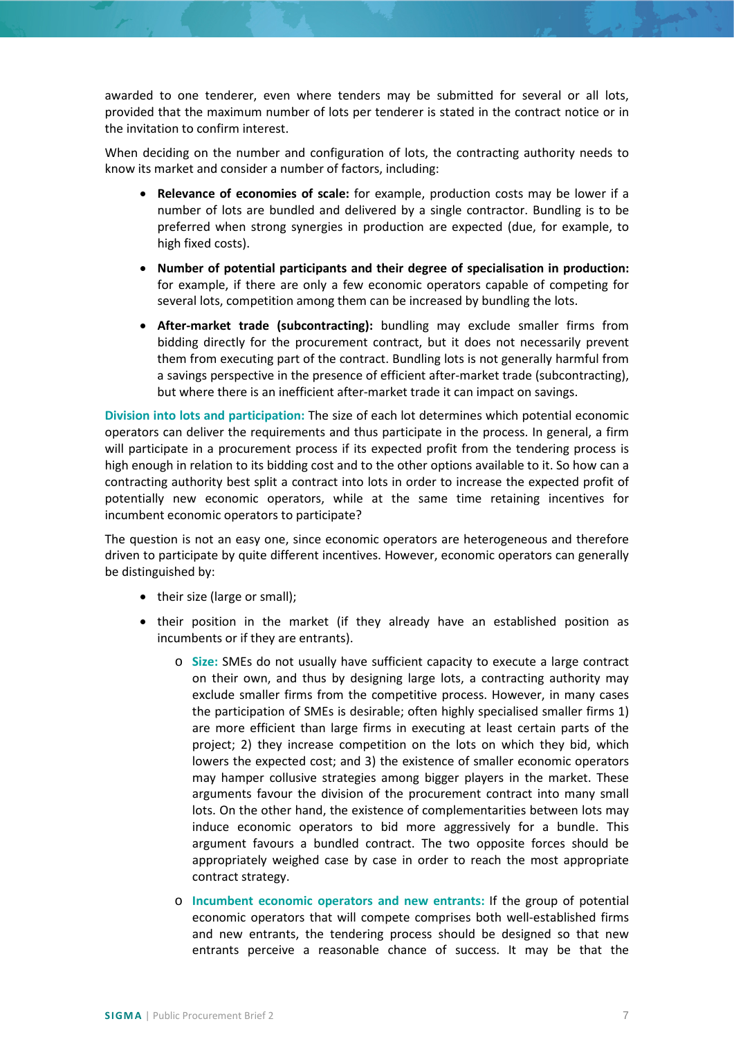awarded to one tenderer, even where tenders may be submitted for several or all lots, provided that the maximum number of lots per tenderer is stated in the contract notice or in the invitation to confirm interest.

When deciding on the number and configuration of lots, the contracting authority needs to know its market and consider a number of factors, including:

- **Relevance of economies of scale:** for example, production costs may be lower if a number of lots are bundled and delivered by a single contractor. Bundling is to be preferred when strong synergies in production are expected (due, for example, to high fixed costs).
- **Number of potential participants and their degree of specialisation in production:** for example, if there are only a few economic operators capable of competing for several lots, competition among them can be increased by bundling the lots.
- **After-market trade (subcontracting):** bundling may exclude smaller firms from bidding directly for the procurement contract, but it does not necessarily prevent them from executing part of the contract. Bundling lots is not generally harmful from a savings perspective in the presence of efficient after-market trade (subcontracting), but where there is an inefficient after-market trade it can impact on savings.

**Division into lots and participation:** The size of each lot determines which potential economic operators can deliver the requirements and thus participate in the process. In general, a firm will participate in a procurement process if its expected profit from the tendering process is high enough in relation to its bidding cost and to the other options available to it. So how can a contracting authority best split a contract into lots in order to increase the expected profit of potentially new economic operators, while at the same time retaining incentives for incumbent economic operators to participate?

The question is not an easy one, since economic operators are heterogeneous and therefore driven to participate by quite different incentives. However, economic operators can generally be distinguished by:

- their size (large or small);
- their position in the market (if they already have an established position as incumbents or if they are entrants).
	- o **Size:** SMEs do not usually have sufficient capacity to execute a large contract on their own, and thus by designing large lots, a contracting authority may exclude smaller firms from the competitive process. However, in many cases the participation of SMEs is desirable; often highly specialised smaller firms 1) are more efficient than large firms in executing at least certain parts of the project; 2) they increase competition on the lots on which they bid, which lowers the expected cost; and 3) the existence of smaller economic operators may hamper collusive strategies among bigger players in the market. These arguments favour the division of the procurement contract into many small lots. On the other hand, the existence of complementarities between lots may induce economic operators to bid more aggressively for a bundle. This argument favours a bundled contract. The two opposite forces should be appropriately weighed case by case in order to reach the most appropriate contract strategy.
	- o **Incumbent economic operators and new entrants:** If the group of potential economic operators that will compete comprises both well-established firms and new entrants, the tendering process should be designed so that new entrants perceive a reasonable chance of success. It may be that the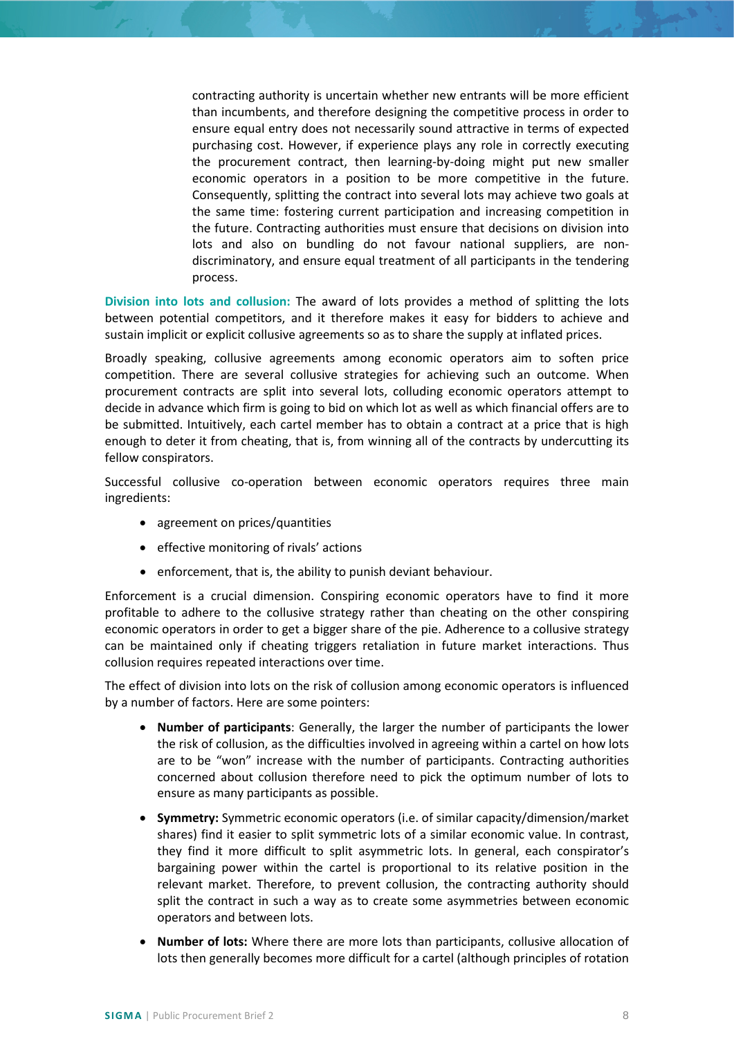contracting authority is uncertain whether new entrants will be more efficient than incumbents, and therefore designing the competitive process in order to ensure equal entry does not necessarily sound attractive in terms of expected purchasing cost. However, if experience plays any role in correctly executing the procurement contract, then learning-by-doing might put new smaller economic operators in a position to be more competitive in the future. Consequently, splitting the contract into several lots may achieve two goals at the same time: fostering current participation and increasing competition in the future. Contracting authorities must ensure that decisions on division into lots and also on bundling do not favour national suppliers, are nondiscriminatory, and ensure equal treatment of all participants in the tendering process.

**Division into lots and collusion:** The award of lots provides a method of splitting the lots between potential competitors, and it therefore makes it easy for bidders to achieve and sustain implicit or explicit collusive agreements so as to share the supply at inflated prices.

Broadly speaking, collusive agreements among economic operators aim to soften price competition. There are several collusive strategies for achieving such an outcome. When procurement contracts are split into several lots, colluding economic operators attempt to decide in advance which firm is going to bid on which lot as well as which financial offers are to be submitted. Intuitively, each cartel member has to obtain a contract at a price that is high enough to deter it from cheating, that is, from winning all of the contracts by undercutting its fellow conspirators.

Successful collusive co-operation between economic operators requires three main ingredients:

- agreement on prices/quantities
- effective monitoring of rivals' actions
- enforcement, that is, the ability to punish deviant behaviour.

Enforcement is a crucial dimension. Conspiring economic operators have to find it more profitable to adhere to the collusive strategy rather than cheating on the other conspiring economic operators in order to get a bigger share of the pie. Adherence to a collusive strategy can be maintained only if cheating triggers retaliation in future market interactions. Thus collusion requires repeated interactions over time.

The effect of division into lots on the risk of collusion among economic operators is influenced by a number of factors. Here are some pointers:

- **Number of participants**: Generally, the larger the number of participants the lower the risk of collusion, as the difficulties involved in agreeing within a cartel on how lots are to be "won" increase with the number of participants. Contracting authorities concerned about collusion therefore need to pick the optimum number of lots to ensure as many participants as possible.
- **Symmetry:** Symmetric economic operators (i.e. of similar capacity/dimension/market shares) find it easier to split symmetric lots of a similar economic value. In contrast, they find it more difficult to split asymmetric lots. In general, each conspirator's bargaining power within the cartel is proportional to its relative position in the relevant market. Therefore, to prevent collusion, the contracting authority should split the contract in such a way as to create some asymmetries between economic operators and between lots.
- **Number of lots:** Where there are more lots than participants, collusive allocation of lots then generally becomes more difficult for a cartel (although principles of rotation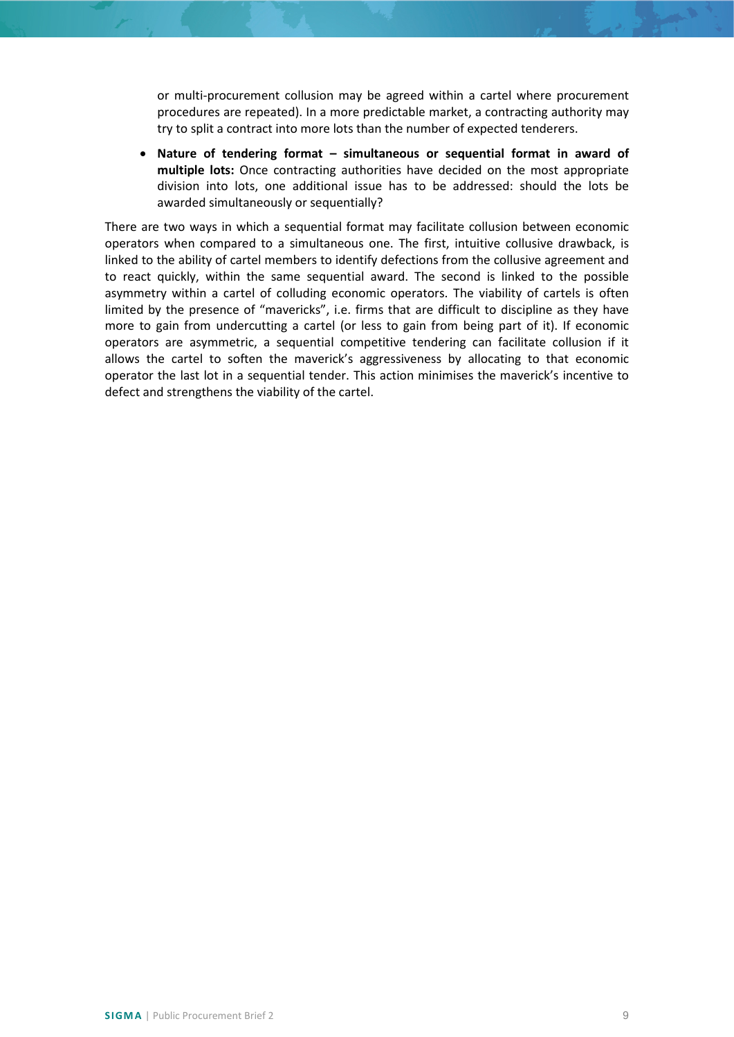or multi-procurement collusion may be agreed within a cartel where procurement procedures are repeated). In a more predictable market, a contracting authority may try to split a contract into more lots than the number of expected tenderers.

• **Nature of tendering format – simultaneous or sequential format in award of multiple lots:** Once contracting authorities have decided on the most appropriate division into lots, one additional issue has to be addressed: should the lots be awarded simultaneously or sequentially?

There are two ways in which a sequential format may facilitate collusion between economic operators when compared to a simultaneous one. The first, intuitive collusive drawback, is linked to the ability of cartel members to identify defections from the collusive agreement and to react quickly, within the same sequential award. The second is linked to the possible asymmetry within a cartel of colluding economic operators. The viability of cartels is often limited by the presence of "mavericks", i.e. firms that are difficult to discipline as they have more to gain from undercutting a cartel (or less to gain from being part of it). If economic operators are asymmetric, a sequential competitive tendering can facilitate collusion if it allows the cartel to soften the maverick's aggressiveness by allocating to that economic operator the last lot in a sequential tender. This action minimises the maverick's incentive to defect and strengthens the viability of the cartel.